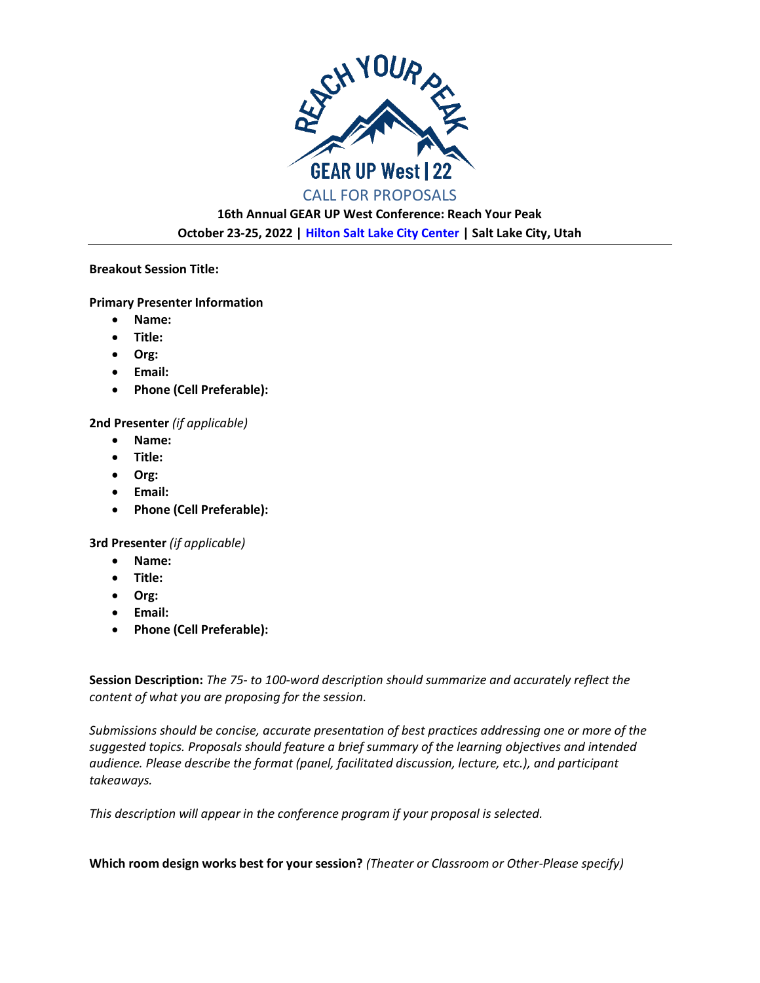

**16th Annual GEAR UP West Conference: Reach Your Peak October 23-25, 2022 | [Hilton Salt Lake City Center](https://www.hilton.com/en/hotels/slccchh-hilton-salt-lake-city-center/) | Salt Lake City, Utah**

## **Breakout Session Title:**

## **Primary Presenter Information**

- **Name:**
- **Title:**
- **Org:**
- **Email:**
- **Phone (Cell Preferable):**

## **2nd Presenter** *(if applicable)*

- **Name:**
- **Title:**
- **Org:**
- **Email:**
- **Phone (Cell Preferable):**

**3rd Presenter** *(if applicable)*

- **Name:**
- **Title:**
- **Org:**
- **Email:**
- **Phone (Cell Preferable):**

**Session Description:** *The 75- to 100-word description should summarize and accurately reflect the content of what you are proposing for the session.* 

*Submissions should be concise, accurate presentation of best practices addressing one or more of the suggested topics. Proposals should feature a brief summary of the learning objectives and intended audience. Please describe the format (panel, facilitated discussion, lecture, etc.), and participant takeaways.* 

*This description will appear in the conference program if your proposal is selected.*

**Which room design works best for your session?** *(Theater or Classroom or Other-Please specify)*